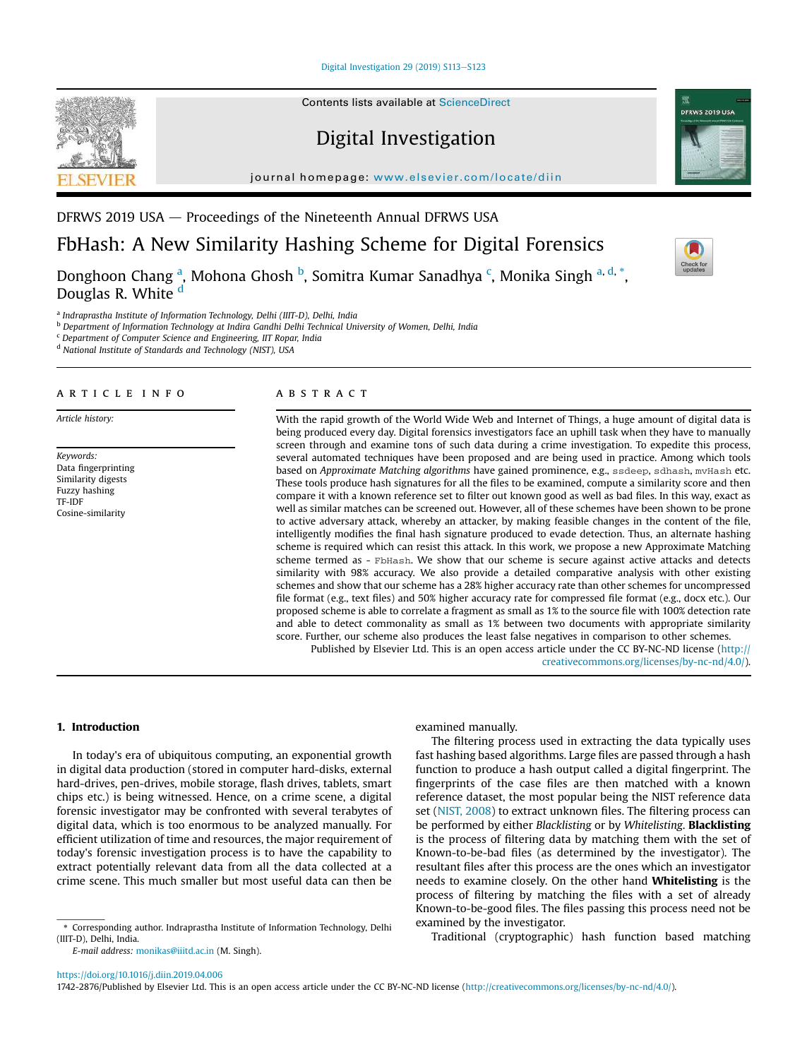Digital Investigation 29 (2019) S113-S123



Contents lists available at ScienceDirect

# Digital Investigation

journal homepage: www.elsevier.com/locate/diin



# FbHash: A New Similarity Hashing Scheme for Digital Forensics

Donghoon Chang <sup>a</sup>, Mohona Ghosh <sup>b</sup>, Somitra Kumar Sanadhya <sup>c</sup>, Monika Singh <sup>a, d,</sup> \*, Douglas R. White <sup>d</sup>

a *Indraprastha Institute of Information Technology, Delhi (IIIT-D), Delhi, India*

<sup>b</sup> *Department of Information Technology at Indira Gandhi Delhi Technical University of Women, Delhi, India*

<sup>c</sup> *Department of Computer Science and Engineering, IIT Ropar, India*

<sup>d</sup> *National Institute of Standards and Technology (NIST), USA*

## article info

*Article history:*

*Keywords:* Data fingerprinting Similarity digests Fuzzy hashing TF-IDF Cosine-similarity

#### **ABSTRACT**

With the rapid growth of the World Wide Web and Internet of Things, a huge amount of digital data is being produced every day. Digital forensics investigators face an uphill task when they have to manually screen through and examine tons of such data during a crime investigation. To expedite this process, several automated techniques have been proposed and are being used in practice. Among which tools based on *Approximate Matching algorithms* have gained prominence, e.g., ssdeep, sdhash, mvHash etc. These tools produce hash signatures for all the files to be examined, compute a similarity score and then compare it with a known reference set to filter out known good as well as bad files. In this way, exact as well as similar matches can be screened out. However, all of these schemes have been shown to be prone to active adversary attack, whereby an attacker, by making feasible changes in the content of the file, intelligently modifies the final hash signature produced to evade detection. Thus, an alternate hashing scheme is required which can resist this attack. In this work, we propose a new Approximate Matching scheme termed as - FbHash. We show that our scheme is secure against active attacks and detects similarity with 98% accuracy. We also provide a detailed comparative analysis with other existing schemes and show that our scheme has a 28% higher accuracy rate than other schemes for uncompressed file format (e.g., text files) and 50% higher accuracy rate for compressed file format (e.g., docx etc.). Our proposed scheme is able to correlate a fragment as small as 1% to the source file with 100% detection rate and able to detect commonality as small as 1% between two documents with appropriate similarity score. Further, our scheme also produces the least false negatives in comparison to other schemes. Published by Elsevier Ltd. This is an open access article under the CC BY-NC-ND license (http://

creativecommons.org/licenses/by-nc-nd/4.0/).

# 1. Introduction

In today's era of ubiquitous computing, an exponential growth in digital data production (stored in computer hard-disks, external hard-drives, pen-drives, mobile storage, flash drives, tablets, smart chips etc.) is being witnessed. Hence, on a crime scene, a digital forensic investigator may be confronted with several terabytes of digital data, which is too enormous to be analyzed manually. For efficient utilization of time and resources, the major requirement of today's forensic investigation process is to have the capability to extract potentially relevant data from all the data collected at a crime scene. This much smaller but most useful data can then be

*E-mail address:* monikas@iiitd.ac.in (M. Singh).

examined manually.

The filtering process used in extracting the data typically uses fast hashing based algorithms. Large files are passed through a hash function to produce a hash output called a digital fingerprint. The fingerprints of the case files are then matched with a known reference dataset, the most popular being the NIST reference data set (NIST, 2008) to extract unknown files. The filtering process can be performed by either *Blacklisting* or by *Whitelisting*. Blacklisting is the process of filtering data by matching them with the set of Known-to-be-bad files (as determined by the investigator). The resultant files after this process are the ones which an investigator needs to examine closely. On the other hand Whitelisting is the process of filtering by matching the files with a set of already Known-to-be-good files. The files passing this process need not be examined by the investigator.

Traditional (cryptographic) hash function based matching

https://doi.org/10.1016/j.diin.2019.04.006

1742-2876/Published by Elsevier Ltd. This is an open access article under the CC BY-NC-ND license (http://creativecommons.org/licenses/by-nc-nd/4.0/).



<sup>\*</sup> Corresponding author. Indraprastha Institute of Information Technology, Delhi (IIIT-D), Delhi, India.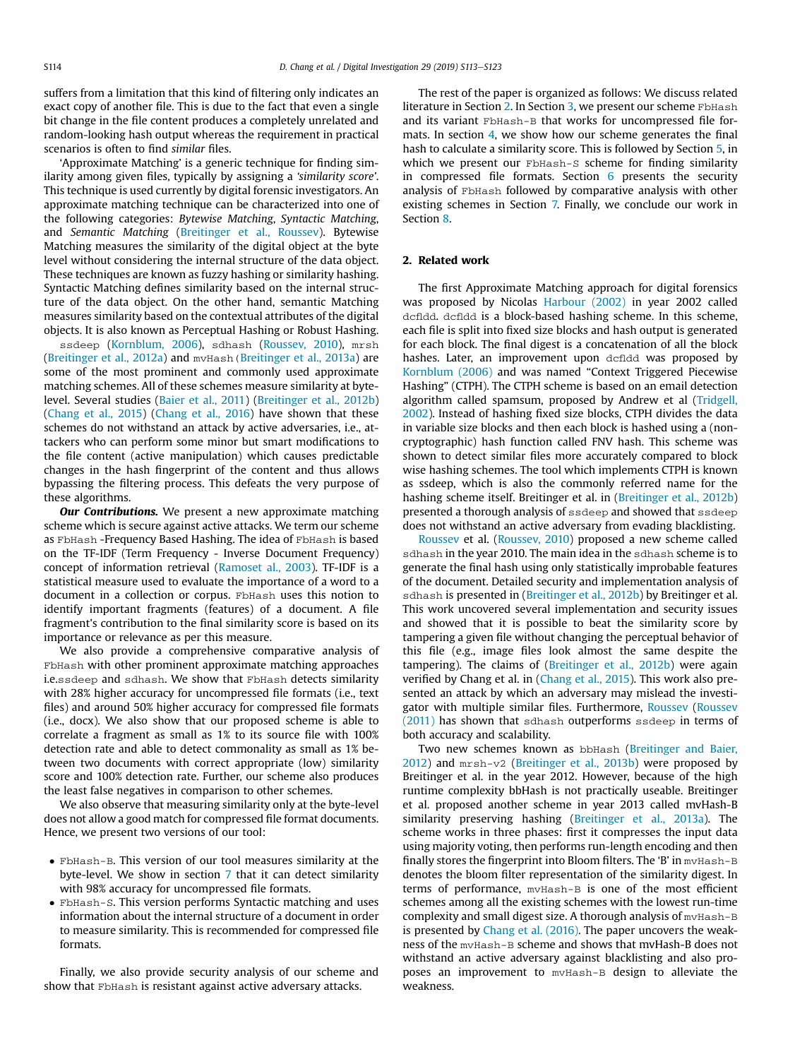suffers from a limitation that this kind of filtering only indicates an exact copy of another file. This is due to the fact that even a single bit change in the file content produces a completely unrelated and random-looking hash output whereas the requirement in practical scenarios is often to find *similar* files.

'Approximate Matching' is a generic technique for finding similarity among given files, typically by assigning a '*similarity score*'. This technique is used currently by digital forensic investigators. An approximate matching technique can be characterized into one of the following categories: *Bytewise Matching*, *Syntactic Matching*, and *Semantic Matching* (Breitinger et al., Roussev). Bytewise Matching measures the similarity of the digital object at the byte level without considering the internal structure of the data object. These techniques are known as fuzzy hashing or similarity hashing. Syntactic Matching defines similarity based on the internal structure of the data object. On the other hand, semantic Matching measures similarity based on the contextual attributes of the digital objects. It is also known as Perceptual Hashing or Robust Hashing.

ssdeep (Kornblum, 2006), sdhash (Roussev, 2010), mrsh (Breitinger et al., 2012a) and mvHash(Breitinger et al., 2013a) are some of the most prominent and commonly used approximate matching schemes. All of these schemes measure similarity at bytelevel. Several studies (Baier et al., 2011) (Breitinger et al., 2012b) (Chang et al., 2015) (Chang et al., 2016) have shown that these schemes do not withstand an attack by active adversaries, i.e., attackers who can perform some minor but smart modifications to the file content (active manipulation) which causes predictable changes in the hash fingerprint of the content and thus allows bypassing the filtering process. This defeats the very purpose of these algorithms.

**Our Contributions.** We present a new approximate matching scheme which is secure against active attacks. We term our scheme as FbHash -Frequency Based Hashing. The idea of FbHash is based on the TF-IDF (Term Frequency - Inverse Document Frequency) concept of information retrieval (Ramoset al., 2003). TF-IDF is a statistical measure used to evaluate the importance of a word to a document in a collection or corpus. FbHash uses this notion to identify important fragments (features) of a document. A file fragment's contribution to the final similarity score is based on its importance or relevance as per this measure.

We also provide a comprehensive comparative analysis of FbHash with other prominent approximate matching approaches i.e.ssdeep and sdhash. We show that FbHash detects similarity with 28% higher accuracy for uncompressed file formats (i.e., text files) and around 50% higher accuracy for compressed file formats (i.e., docx). We also show that our proposed scheme is able to correlate a fragment as small as 1% to its source file with 100% detection rate and able to detect commonality as small as 1% between two documents with correct appropriate (low) similarity score and 100% detection rate. Further, our scheme also produces the least false negatives in comparison to other schemes.

We also observe that measuring similarity only at the byte-level does not allow a good match for compressed file format documents. Hence, we present two versions of our tool:

- FbHash-B. This version of our tool measures similarity at the byte-level. We show in section 7 that it can detect similarity with 98% accuracy for uncompressed file formats.
- FbHash-S. This version performs Syntactic matching and uses information about the internal structure of a document in order to measure similarity. This is recommended for compressed file formats.

Finally, we also provide security analysis of our scheme and show that FbHash is resistant against active adversary attacks.

The rest of the paper is organized as follows: We discuss related literature in Section 2. In Section 3, we present our scheme FbHash and its variant FbHash-B that works for uncompressed file formats. In section 4, we show how our scheme generates the final hash to calculate a similarity score. This is followed by Section 5, in which we present our FbHash-S scheme for finding similarity in compressed file formats. Section  $6$  presents the security analysis of FbHash followed by comparative analysis with other existing schemes in Section 7. Finally, we conclude our work in Section 8.

### 2. Related work

The first Approximate Matching approach for digital forensics was proposed by Nicolas Harbour (2002) in year 2002 called dcfldd. dcfldd is a block-based hashing scheme. In this scheme, each file is split into fixed size blocks and hash output is generated for each block. The final digest is a concatenation of all the block hashes. Later, an improvement upon defldd was proposed by Kornblum (2006) and was named "Context Triggered Piecewise Hashing" (CTPH). The CTPH scheme is based on an email detection algorithm called spamsum, proposed by Andrew et al (Tridgell, 2002). Instead of hashing fixed size blocks, CTPH divides the data in variable size blocks and then each block is hashed using a (noncryptographic) hash function called FNV hash. This scheme was shown to detect similar files more accurately compared to block wise hashing schemes. The tool which implements CTPH is known as ssdeep, which is also the commonly referred name for the hashing scheme itself. Breitinger et al. in (Breitinger et al., 2012b) presented a thorough analysis of ssdeep and showed that ssdeep does not withstand an active adversary from evading blacklisting.

Roussev et al. (Roussev, 2010) proposed a new scheme called sdhash in the year 2010. The main idea in the sdhash scheme is to generate the final hash using only statistically improbable features of the document. Detailed security and implementation analysis of sdhash is presented in (Breitinger et al., 2012b) by Breitinger et al. This work uncovered several implementation and security issues and showed that it is possible to beat the similarity score by tampering a given file without changing the perceptual behavior of this file (e.g., image files look almost the same despite the tampering). The claims of (Breitinger et al., 2012b) were again verified by Chang et al. in (Chang et al., 2015). This work also presented an attack by which an adversary may mislead the investigator with multiple similar files. Furthermore, Roussev (Roussev (2011) has shown that sdhash outperforms ssdeep in terms of both accuracy and scalability.

Two new schemes known as bbHash (Breitinger and Baier, 2012) and mrsh-v2 (Breitinger et al., 2013b) were proposed by Breitinger et al. in the year 2012. However, because of the high runtime complexity bbHash is not practically useable. Breitinger et al. proposed another scheme in year 2013 called mvHash-B similarity preserving hashing (Breitinger et al., 2013a). The scheme works in three phases: first it compresses the input data using majority voting, then performs run-length encoding and then finally stores the fingerprint into Bloom filters. The 'B' in  $mvHash-B$ denotes the bloom filter representation of the similarity digest. In terms of performance, mvHash-B is one of the most efficient schemes among all the existing schemes with the lowest run-time complexity and small digest size. A thorough analysis of mvHash-B is presented by Chang et al. (2016). The paper uncovers the weakness of the mvHash-B scheme and shows that mvHash-B does not withstand an active adversary against blacklisting and also proposes an improvement to mvHash-B design to alleviate the weakness.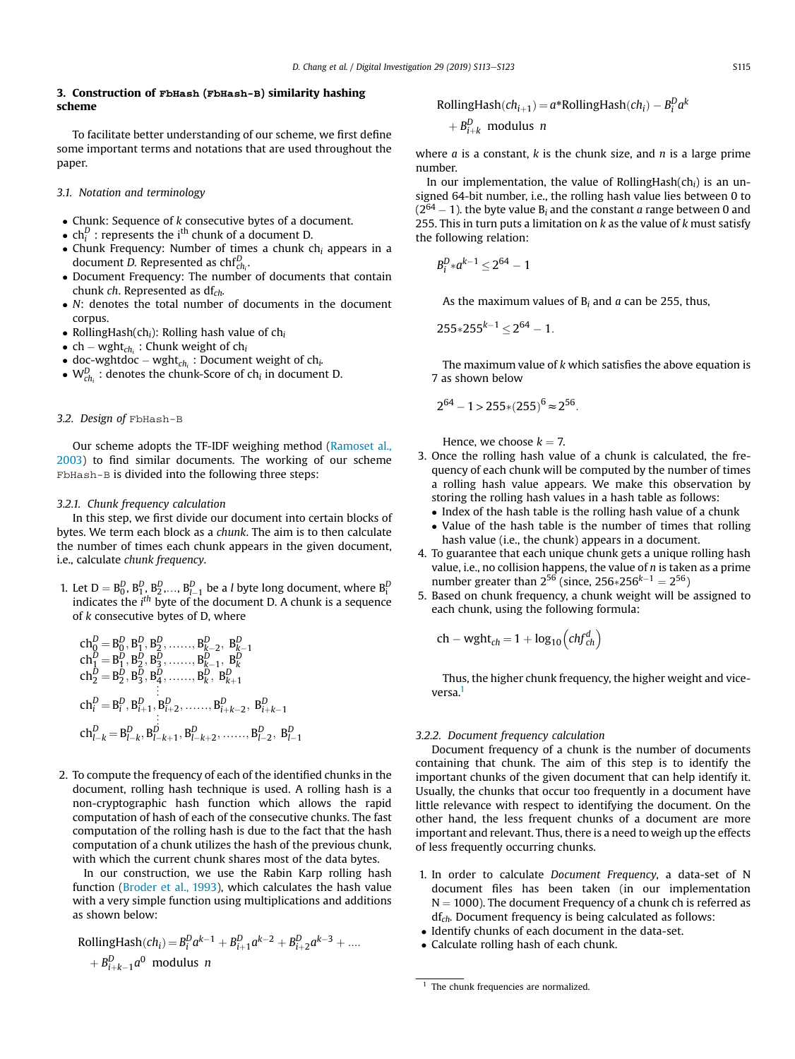# 3. Construction of FbHash (FbHash-B) similarity hashing scheme

To facilitate better understanding of our scheme, we first define some important terms and notations that are used throughout the paper.

## *3.1. Notation and terminology*

- Chunk: Sequence of *k* consecutive bytes of a document.
- $\ch_l^D$  : represents the i<sup>th</sup> chunk of a document D.
- Chunk Frequency: Number of times a chunk ch*<sup>i</sup>* appears in a document *D.* Represented as chf*<sup>D</sup> ch<sup>i</sup>* .
- Document Frequency: The number of documents that contain chunk *ch*. Represented as df*ch.*
- *N*: denotes the total number of documents in the document corpus.
- RollingHash(ch*i*): Rolling hash value of ch*<sup>i</sup>*
- $\bullet$  ch wght $_{ch_i}$  : Chunk weight of ch<sub>i</sub>
- doc-wghtdoc wght<sub>ch<sub>i</sub></sub> : Document weight of ch<sub>*i*</sub>.
- $W_{ch_i}^D$ : denotes the chunk-Score of ch<sub>*i*</sub> in document D.

# *3.2. Design of* FbHash-B

Our scheme adopts the TF-IDF weighing method (Ramoset al., 2003) to find similar documents. The working of our scheme FbHash-B is divided into the following three steps:

#### *3.2.1. Chunk frequency calculation*

In this step, we first divide our document into certain blocks of bytes. We term each block as a *chunk*. The aim is to then calculate the number of times each chunk appears in the given document, i.e., calculate *chunk frequency*.

1. Let  $D = B_0^D, B_1^D, B_2^D, \ldots, B_{l-1}^D$  be a *l* byte long document, where  $B_i^D$ indicates the *i th* byte of the document D. A chunk is a sequence of *k* consecutive bytes of D, where

ch*<sup>D</sup>* <sup>0</sup> ¼ B *D* 0 ; B *D* 1 ; B *D* 2 ; ……; <sup>B</sup> *D k*2 ; B *D k*1 ch*<sup>D</sup>* <sup>1</sup> ¼ B *D* 1 ; B *D* 2 ; B *D* 3 ; ……; <sup>B</sup> *D k*1 ; B *D k* ch*<sup>D</sup>* <sup>2</sup> ¼ B *D* 2 ; B *D* 3 ; B *D* 4 ; ……; <sup>B</sup> *D k* ; B *D k*þ1 « ch*<sup>D</sup> <sup>i</sup>* ¼ B *D i* ; B *D i*þ1 ; B *D i*þ2 ; ……; <sup>B</sup> *D i*þ*k*2 ; B *D i*þ*k*1 « ch*<sup>D</sup> <sup>l</sup><sup>k</sup>* ¼ B *D lk* ; B *D lk*þ1 ; B *D lk*þ2 ; ……; <sup>B</sup> *D l*2 ; B *D l*1

2. To compute the frequency of each of the identified chunks in the document, rolling hash technique is used. A rolling hash is a non-cryptographic hash function which allows the rapid computation of hash of each of the consecutive chunks. The fast computation of the rolling hash is due to the fact that the hash computation of a chunk utilizes the hash of the previous chunk, with which the current chunk shares most of the data bytes.

In our construction, we use the Rabin Karp rolling hash function (Broder et al., 1993), which calculates the hash value with a very simple function using multiplications and additions as shown below:

RollingHash(
$$
ch_i
$$
) =  $B_i^D a^{k-1} + B_{i+1}^D a^{k-2} + B_{i+2}^D a^{k-3} + ...$   
+  $B_{i+k-1}^D a^0$  modulus *n*

RollingHash
$$
(ch_{i+1}) = a * RollingHash(ch_i) - B_i^D a^k
$$

$$
+ B_{i+k}^D
$$
 modulus *n*

where *a* is a constant, *k* is the chunk size, and *n* is a large prime number.

In our implementation, the value of RollingHash(ch*i*) is an unsigned 64-bit number, i.e., the rolling hash value lies between 0 to  $(2^{64} – 1)$ . the byte value B<sub>i</sub> and the constant *a* range between 0 and 255. This in turn puts a limitation on *k* as the value of *k* must satisfy the following relation:

$$
B_i^D * a^{k-1} \le 2^{64} - 1
$$

As the maximum values of B*<sup>i</sup>* and *a* can be 255, thus,

$$
255*255^{k-1} \leq 2^{64} - 1.
$$

The maximum value of *k* which satisfies the above equation is 7 as shown below

$$
2^{64}-1\,{>}\,255{*}(255)^6\,{\approx}\,2^{56}.
$$

Hence, we choose  $k = 7$ .

- 3. Once the rolling hash value of a chunk is calculated, the frequency of each chunk will be computed by the number of times a rolling hash value appears. We make this observation by storing the rolling hash values in a hash table as follows:
	- Index of the hash table is the rolling hash value of a chunk
	- Value of the hash table is the number of times that rolling hash value (i.e., the chunk) appears in a document.
- 4. To guarantee that each unique chunk gets a unique rolling hash value, i.e., no collision happens, the value of *n* is taken as a prime number greater than  $2^{56}$  (since,  $256*256^{k-1} = 2^{56}$ )
- 5. Based on chunk frequency, a chunk weight will be assigned to each chunk, using the following formula:

$$
ch - wght_{ch} = 1 + log_{10}(chf_{ch}^d)
$$

Thus, the higher chunk frequency, the higher weight and viceversa.<sup>1</sup>

# *3.2.2. Document frequency calculation*

Document frequency of a chunk is the number of documents containing that chunk. The aim of this step is to identify the important chunks of the given document that can help identify it. Usually, the chunks that occur too frequently in a document have little relevance with respect to identifying the document. On the other hand, the less frequent chunks of a document are more important and relevant. Thus, there is a need to weigh up the effects of less frequently occurring chunks.

- 1. In order to calculate *Document Frequency*, a data-set of N document files has been taken (in our implementation  $N = 1000$ ). The document Frequency of a chunk ch is referred as df*ch.* Document frequency is being calculated as follows:
- Identify chunks of each document in the data-set.
- Calculate rolling hash of each chunk.

<sup>&</sup>lt;sup>1</sup> The chunk frequencies are normalized.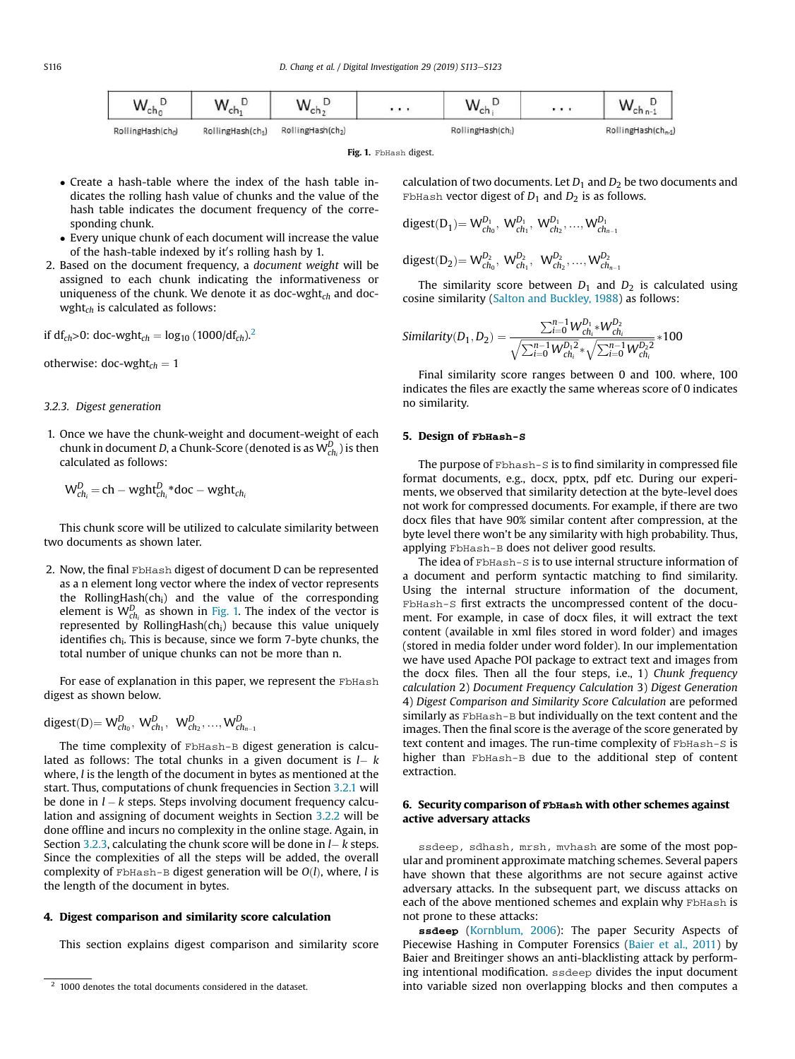| $\mathcal{M}$<br>ch <sub>0</sub> | <br>내            | $\overline{M}$   |                  | . | $\sim$<br>w                     |
|----------------------------------|------------------|------------------|------------------|---|---------------------------------|
| RollingHash(cho)                 | RollingHash(ch1) | RollingHash(ch2) | RollingHash(ch.) |   | RollingHash(ch <sub>n-1</sub> ) |

Fig. 1. FbHash digest.

- Create a hash-table where the index of the hash table indicates the rolling hash value of chunks and the value of the hash table indicates the document frequency of the corresponding chunk.
- Every unique chunk of each document will increase the value of the hash-table indexed by it's rolling hash by 1.
- 2. Based on the document frequency, a *document weight* will be assigned to each chunk indicating the informativeness or uniqueness of the chunk. We denote it as doc-wght*ch* and docwght*ch* is calculated as follows:

if  $df_{ch} > 0$ : doc-wght<sub>ch</sub> =  $log_{10} (1000/df_{ch})^2$ .

otherwise:  $doc$ -wght<sub>ch</sub> = 1

#### *3.2.3. Digest generation*

1. Once we have the chunk-weight and document-weight of each chunk in document *D*, a Chunk-Score (denoted is as W*<sup>D</sup> ch<sup>i</sup>* ) is then calculated as follows:

$$
W_{ch_i}^D = ch - wght_{ch_i}^D * doc - wght_{ch_i}
$$

This chunk score will be utilized to calculate similarity between two documents as shown later.

2. Now, the final FbHash digest of document D can be represented as a n element long vector where the index of vector represents the RollingHash(chi) and the value of the corresponding element is  $W_{ch_i}^D$  as shown in Fig. 1. The index of the vector is represented by RollingHash $(ch<sub>i</sub>)$  because this value uniquely identifies ch<sub>i</sub>. This is because, since we form 7-byte chunks, the total number of unique chunks can not be more than n.

For ease of explanation in this paper, we represent the FbHash digest as shown below.

$$
disest(D) = W_{ch_0}^D, W_{ch_1}^D, W_{ch_2}^D, ..., W_{ch_{n-1}}^D
$$

The time complexity of FbHash-B digest generation is calculated as follows: The total chunks in a given document is  $l - k$ where, *l* is the length of the document in bytes as mentioned at the start. Thus, computations of chunk frequencies in Section 3.2.1 will be done in  $l - k$  steps. Steps involving document frequency calculation and assigning of document weights in Section 3.2.2 will be done offline and incurs no complexity in the online stage. Again, in Section 3.2.3, calculating the chunk score will be done in  $l - k$  steps. Since the complexities of all the steps will be added, the overall complexity of FbHash-B digest generation will be  $O(l)$ , where, *l* is the length of the document in bytes.

#### 4. Digest comparison and similarity score calculation

This section explains digest comparison and similarity score

calculation of two documents. Let  $D_1$  and  $D_2$  be two documents and FbHash vector digest of  $D_1$  and  $D_2$  is as follows.

$$
disest(D_1) = W_{ch_0}^{D_1}, W_{ch_1}^{D_1}, W_{ch_2}^{D_1}, ..., W_{ch_{n-1}}^{D_n}
$$

$$
disest(D_2) = W_{ch_0}^{D_2},\ W_{ch_1}^{D_2},\ W_{ch_2}^{D_2},...,W_{ch_{n-1}}^{D_2}
$$

The similarity score between  $D_1$  and  $D_2$  is calculated using cosine similarity (Salton and Buckley, 1988) as follows:

$$
Similarity(D_1, D_2) = \frac{\sum_{i=0}^{n-1} W_{chi}^{D_1} * W_{chi}^{D_2}}{\sqrt{\sum_{i=0}^{n-1} W_{chi}^{D_1} * \sqrt{\sum_{i=0}^{n-1} W_{chi}^{D_2} }}} * 100
$$

Final similarity score ranges between 0 and 100. where, 100 indicates the files are exactly the same whereas score of 0 indicates no similarity.

# 5. Design of FbHash-S

The purpose of Fbhash-S is to find similarity in compressed file format documents, e.g., docx, pptx, pdf etc. During our experiments, we observed that similarity detection at the byte-level does not work for compressed documents. For example, if there are two docx files that have 90% similar content after compression, at the byte level there won't be any similarity with high probability. Thus, applying FbHash-B does not deliver good results.

The idea of FbHash-S is to use internal structure information of a document and perform syntactic matching to find similarity. Using the internal structure information of the document, FbHash-S first extracts the uncompressed content of the document. For example, in case of docx files, it will extract the text content (available in xml files stored in word folder) and images (stored in media folder under word folder). In our implementation we have used Apache POI package to extract text and images from the docx files. Then all the four steps, i.e., 1) *Chunk frequency calculation* 2) *Document Frequency Calculation* 3) *Digest Generation* 4) *Digest Comparison and Similarity Score Calculation* are peformed similarly as FbHash-B but individually on the text content and the images. Then the final score is the average of the score generated by text content and images. The run-time complexity of FbHash-S is higher than FbHash-B due to the additional step of content extraction.

# 6. Security comparison of FbHash with other schemes against active adversary attacks

ssdeep, sdhash, mrsh, mvhash are some of the most popular and prominent approximate matching schemes. Several papers have shown that these algorithms are not secure against active adversary attacks. In the subsequent part, we discuss attacks on each of the above mentioned schemes and explain why FbHash is not prone to these attacks:

ssdeep (Kornblum, 2006): The paper Security Aspects of Piecewise Hashing in Computer Forensics (Baier et al., 2011) by Baier and Breitinger shows an anti-blacklisting attack by performing intentional modification. ssdeep divides the input document into variable sized non overlapping blocks and then computes a

<sup>&</sup>lt;sup>2</sup> 1000 denotes the total documents considered in the dataset.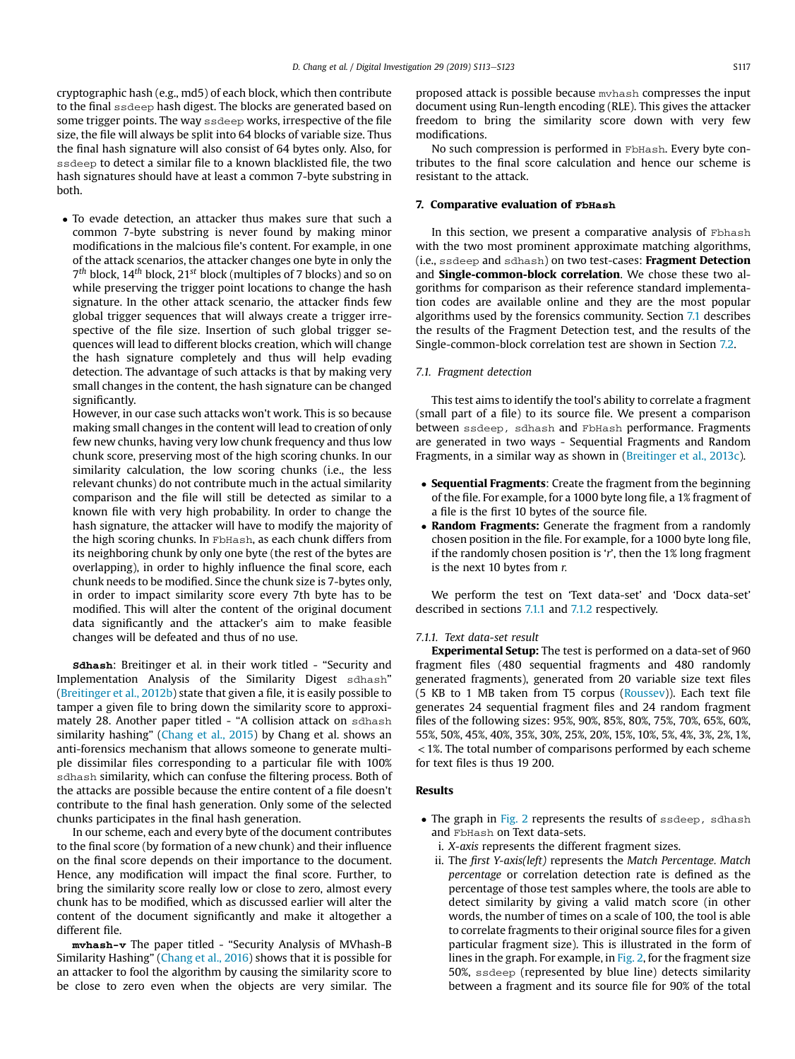cryptographic hash (e.g., md5) of each block, which then contribute to the final ssdeep hash digest. The blocks are generated based on some trigger points. The way ssdeep works, irrespective of the file size, the file will always be split into 64 blocks of variable size. Thus the final hash signature will also consist of 64 bytes only. Also, for ssdeep to detect a similar file to a known blacklisted file, the two hash signatures should have at least a common 7-byte substring in both.

 To evade detection, an attacker thus makes sure that such a common 7-byte substring is never found by making minor modifications in the malcious file's content. For example, in one of the attack scenarios, the attacker changes one byte in only the 7 *th* block, 14*th* block, 21*st* block (multiples of 7 blocks) and so on while preserving the trigger point locations to change the hash signature. In the other attack scenario, the attacker finds few global trigger sequences that will always create a trigger irrespective of the file size. Insertion of such global trigger sequences will lead to different blocks creation, which will change the hash signature completely and thus will help evading detection. The advantage of such attacks is that by making very small changes in the content, the hash signature can be changed significantly.

However, in our case such attacks won't work. This is so because making small changes in the content will lead to creation of only few new chunks, having very low chunk frequency and thus low chunk score, preserving most of the high scoring chunks. In our similarity calculation, the low scoring chunks (i.e., the less relevant chunks) do not contribute much in the actual similarity comparison and the file will still be detected as similar to a known file with very high probability. In order to change the hash signature, the attacker will have to modify the majority of the high scoring chunks. In FbHash, as each chunk differs from its neighboring chunk by only one byte (the rest of the bytes are overlapping), in order to highly influence the final score, each chunk needs to be modified. Since the chunk size is 7-bytes only, in order to impact similarity score every 7th byte has to be modified. This will alter the content of the original document data significantly and the attacker's aim to make feasible changes will be defeated and thus of no use.

sdhash: Breitinger et al. in their work titled - "Security and Implementation Analysis of the Similarity Digest sdhash" (Breitinger et al., 2012b) state that given a file, it is easily possible to tamper a given file to bring down the similarity score to approximately 28. Another paper titled - "A collision attack on sdhash similarity hashing" (Chang et al., 2015) by Chang et al. shows an anti-forensics mechanism that allows someone to generate multiple dissimilar files corresponding to a particular file with 100% sdhash similarity, which can confuse the filtering process. Both of the attacks are possible because the entire content of a file doesn't contribute to the final hash generation. Only some of the selected chunks participates in the final hash generation.

In our scheme, each and every byte of the document contributes to the final score (by formation of a new chunk) and their influence on the final score depends on their importance to the document. Hence, any modification will impact the final score. Further, to bring the similarity score really low or close to zero, almost every chunk has to be modified, which as discussed earlier will alter the content of the document significantly and make it altogether a different file.

mvhash-v The paper titled - "Security Analysis of MVhash-B Similarity Hashing" (Chang et al., 2016) shows that it is possible for an attacker to fool the algorithm by causing the similarity score to be close to zero even when the objects are very similar. The

proposed attack is possible because mvhash compresses the input document using Run-length encoding (RLE). This gives the attacker freedom to bring the similarity score down with very few modifications.

No such compression is performed in FbHash. Every byte contributes to the final score calculation and hence our scheme is resistant to the attack.

### 7. Comparative evaluation of FbHash

In this section, we present a comparative analysis of Fbhash with the two most prominent approximate matching algorithms, (i.e., ssdeep and sdhash) on two test-cases: Fragment Detection and Single-common-block correlation. We chose these two algorithms for comparison as their reference standard implementation codes are available online and they are the most popular algorithms used by the forensics community. Section 7.1 describes the results of the Fragment Detection test, and the results of the Single-common-block correlation test are shown in Section 7.2.

#### *7.1. Fragment detection*

This test aims to identify the tool's ability to correlate a fragment (small part of a file) to its source file. We present a comparison between ssdeep, sdhash and FbHash performance. Fragments are generated in two ways - Sequential Fragments and Random Fragments, in a similar way as shown in (Breitinger et al., 2013c).

- Sequential Fragments: Create the fragment from the beginning of the file. For example, for a 1000 byte long file, a 1% fragment of a file is the first 10 bytes of the source file.
- Random Fragments: Generate the fragment from a randomly chosen position in the file. For example, for a 1000 byte long file, if the randomly chosen position is '*r*', then the 1% long fragment is the next 10 bytes from *r.*

We perform the test on 'Text data-set' and 'Docx data-set' described in sections 7.1.1 and 7.1.2 respectively.

#### *7.1.1. Text data-set result*

Experimental Setup: The test is performed on a data-set of 960 fragment files (480 sequential fragments and 480 randomly generated fragments), generated from 20 variable size text files (5 KB to 1 MB taken from T5 corpus (Roussev)). Each text file generates 24 sequential fragment files and 24 random fragment files of the following sizes: 95%, 90%, 85%, 80%, 75%, 70%, 65%, 60%, 55%, 50%, 45%, 40%, 35%, 30%, 25%, 20%, 15%, 10%, 5%, 4%, 3%, 2%, 1%, <1%. The total number of comparisons performed by each scheme for text files is thus 19 200.

# Results

- The graph in Fig. 2 represents the results of ssdeep, sdhash and FbHash on Text data-sets.
	- i. *X-axis* represents the different fragment sizes.
	- ii. The fi*rst Y-axis(left)* represents the *Match Percentage. Match percentage* or correlation detection rate is defined as the percentage of those test samples where, the tools are able to detect similarity by giving a valid match score (in other words, the number of times on a scale of 100, the tool is able to correlate fragments to their original source files for a given particular fragment size). This is illustrated in the form of lines in the graph. For example, in Fig. 2, for the fragment size 50%, ssdeep (represented by blue line) detects similarity between a fragment and its source file for 90% of the total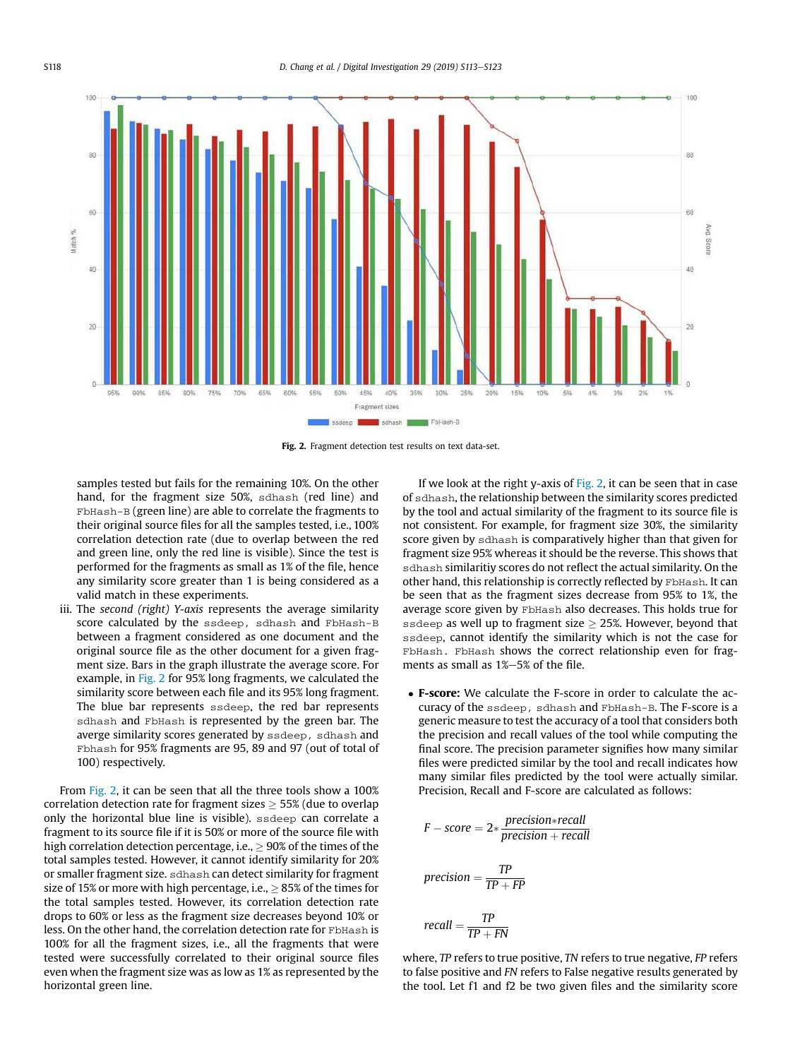

Fig. 2. Fragment detection test results on text data-set.

samples tested but fails for the remaining 10%. On the other hand, for the fragment size 50%, sdhash (red line) and FbHash-B (green line) are able to correlate the fragments to their original source files for all the samples tested, i.e., 100% correlation detection rate (due to overlap between the red and green line, only the red line is visible). Since the test is performed for the fragments as small as 1% of the file, hence any similarity score greater than 1 is being considered as a valid match in these experiments.

iii. The *second (right) Y-axis* represents the average similarity score calculated by the ssdeep, sdhash and FbHash-B between a fragment considered as one document and the original source file as the other document for a given fragment size. Bars in the graph illustrate the average score. For example, in Fig. 2 for 95% long fragments, we calculated the similarity score between each file and its 95% long fragment. The blue bar represents ssdeep, the red bar represents sdhash and FbHash is represented by the green bar. The averge similarity scores generated by ssdeep, sdhash and Fbhash for 95% fragments are 95, 89 and 97 (out of total of 100) respectively.

From Fig. 2, it can be seen that all the three tools show a 100% correlation detection rate for fragment sizes  $\geq$  55% (due to overlap only the horizontal blue line is visible). ssdeep can correlate a fragment to its source file if it is 50% or more of the source file with high correlation detection percentage, i.e.,  $\geq 90\%$  of the times of the total samples tested. However, it cannot identify similarity for 20% or smaller fragment size. sdhash can detect similarity for fragment size of 15% or more with high percentage, i.e.,  $> 85%$  of the times for the total samples tested. However, its correlation detection rate drops to 60% or less as the fragment size decreases beyond 10% or less. On the other hand, the correlation detection rate for FbHash is 100% for all the fragment sizes, i.e., all the fragments that were tested were successfully correlated to their original source files even when the fragment size was as low as 1% as represented by the horizontal green line.

If we look at the right y-axis of Fig. 2, it can be seen that in case of sdhash, the relationship between the similarity scores predicted by the tool and actual similarity of the fragment to its source file is not consistent. For example, for fragment size 30%, the similarity score given by sdhash is comparatively higher than that given for fragment size 95% whereas it should be the reverse. This shows that sdhash similaritiy scores do not reflect the actual similarity. On the other hand, this relationship is correctly reflected by FbHash. It can be seen that as the fragment sizes decrease from 95% to 1%, the average score given by FbHash also decreases. This holds true for ssdeep as well up to fragment size  $\geq$  25%. However, beyond that ssdeep, cannot identify the similarity which is not the case for FbHash. FbHash shows the correct relationship even for fragments as small as  $1\%-5\%$  of the file.

 F-score: We calculate the F-score in order to calculate the accuracy of the ssdeep, sdhash and FbHash-B. The F-score is a generic measure to test the accuracy of a tool that considers both the precision and recall values of the tool while computing the final score. The precision parameter signifies how many similar files were predicted similar by the tool and recall indicates how many similar files predicted by the tool were actually similar. Precision, Recall and F-score are calculated as follows:

$$
F-score = 2 * \frac{precision * recall}{precision + recall}
$$

$$
precision = \frac{TP}{TP + FP}
$$
  

 $recall = \frac{TP}{TP}$  $TP + FN$ 

where, *TP* refers to true positive, *TN* refers to true negative, *FP* refers to false positive and *FN* refers to False negative results generated by the tool. Let f1 and f2 be two given files and the similarity score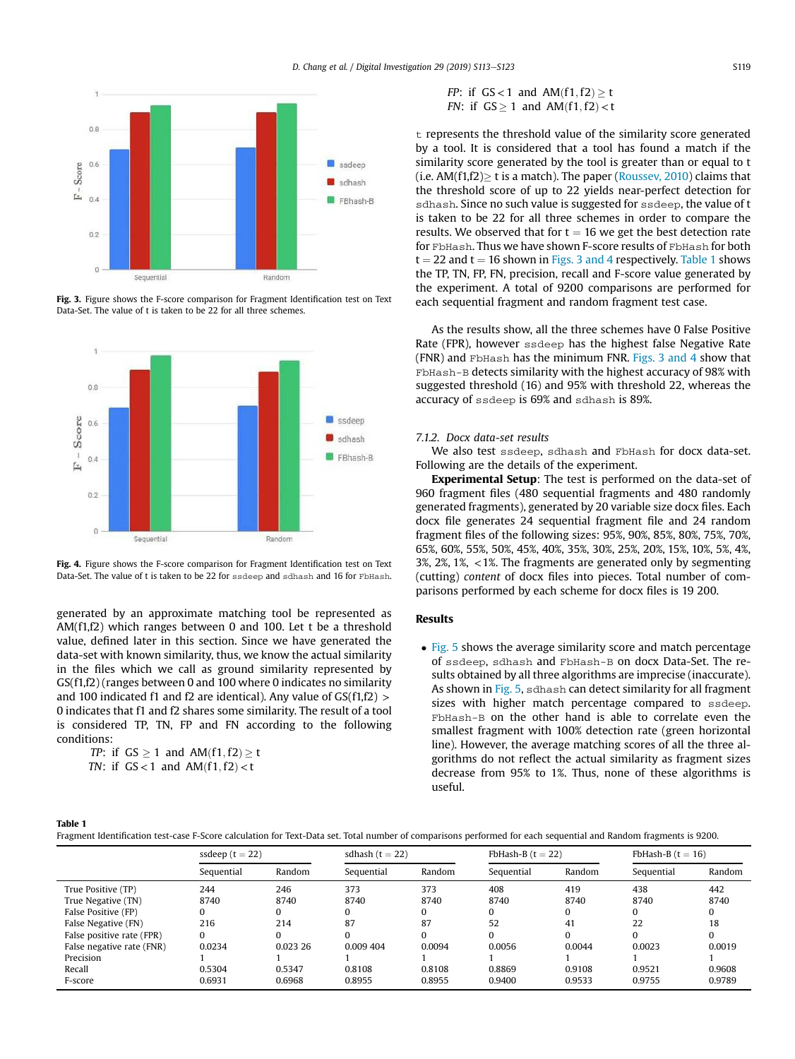

Fig. 3. Figure shows the F-score comparison for Fragment Identification test on Text Data-Set. The value of t is taken to be 22 for all three schemes.



Fig. 4. Figure shows the F-score comparison for Fragment Identification test on Text Data-Set. The value of t is taken to be 22 for ssdeep and sdhash and 16 for FbHash.

generated by an approximate matching tool be represented as AM(f1,f2) which ranges between 0 and 100. Let t be a threshold value, defined later in this section. Since we have generated the data-set with known similarity, thus, we know the actual similarity in the files which we call as ground similarity represented by GS(f1,f2) (ranges between 0 and 100 where 0 indicates no similarity and 100 indicated f1 and f2 are identical). Any value of  $GS(f1,f2)$ 0 indicates that f1 and f2 shares some similarity. The result of a tool is considered TP, TN, FP and FN according to the following conditions:

*TP*: if  $GS \geq 1$  and  $AM(f1, f2) \geq t$  $TM:$  if  $CC:1$  and  $AM(61)$   $CD$ 

*IN*: if 
$$
GS < 1
$$
 and  $AM(t1, t2) < t$ 

$$
FP: \text{ if } GS < 1 \text{ and } AM(f1, f2) \ge t
$$
\n
$$
FN: \text{ if } GS \ge 1 \text{ and } AM(f1, f2) < t
$$

 $t$  represents the threshold value of the similarity score generated by a tool. It is considered that a tool has found a match if the similarity score generated by the tool is greater than or equal to t (i.e.  $AM(f1,f2)$  t is a match). The paper (Roussev, 2010) claims that the threshold score of up to 22 yields near-perfect detection for sdhash. Since no such value is suggested for ssdeep, the value of t is taken to be 22 for all three schemes in order to compare the results. We observed that for  $t = 16$  we get the best detection rate for FbHash. Thus we have shown F-score results of FbHash for both  $t = 22$  and  $t = 16$  shown in Figs. 3 and 4 respectively. Table 1 shows the TP, TN, FP, FN, precision, recall and F-score value generated by the experiment. A total of 9200 comparisons are performed for each sequential fragment and random fragment test case.

As the results show, all the three schemes have 0 False Positive Rate (FPR), however ssdeep has the highest false Negative Rate (FNR) and FbHash has the minimum FNR. Figs. 3 and 4 show that FbHash-B detects similarity with the highest accuracy of 98% with suggested threshold (16) and 95% with threshold 22, whereas the accuracy of ssdeep is 69% and sdhash is 89%.

## *7.1.2. Docx data-set results*

We also test ssdeep, sdhash and FbHash for docx data-set. Following are the details of the experiment.

Experimental Setup: The test is performed on the data-set of 960 fragment files (480 sequential fragments and 480 randomly generated fragments), generated by 20 variable size docx files. Each docx file generates 24 sequential fragment file and 24 random fragment files of the following sizes: 95%, 90%, 85%, 80%, 75%, 70%, 65%, 60%, 55%, 50%, 45%, 40%, 35%, 30%, 25%, 20%, 15%, 10%, 5%, 4%, 3%, 2%, 1%, <1%. The fragments are generated only by segmenting (cutting) *content* of docx files into pieces. Total number of comparisons performed by each scheme for docx files is 19 200.

#### Results

• Fig. 5 shows the average similarity score and match percentage of ssdeep, sdhash and FbHash-B on docx Data-Set. The results obtained by all three algorithms are imprecise (inaccurate). As shown in Fig. 5, sdhash can detect similarity for all fragment sizes with higher match percentage compared to ssdeep. FbHash-B on the other hand is able to correlate even the smallest fragment with 100% detection rate (green horizontal line). However, the average matching scores of all the three algorithms do not reflect the actual similarity as fragment sizes decrease from 95% to 1%. Thus, none of these algorithms is useful.

#### Table 1

Fragment Identification test-case F-Score calculation for Text-Data set. Total number of comparisons performed for each sequential and Random fragments is 9200.

|                           | ssdeep $(t = 22)$ |          | sdhash $(t = 22)$ |        | FbHash-B $(t = 22)$ |        | FbHash-B $(t = 16)$ |        |
|---------------------------|-------------------|----------|-------------------|--------|---------------------|--------|---------------------|--------|
|                           | Sequential        | Random   | Sequential        | Random | Sequential          | Random | Sequential          | Random |
| True Positive (TP)        | 244               | 246      | 373               | 373    | 408                 | 419    | 438                 | 442    |
| True Negative (TN)        | 8740              | 8740     | 8740              | 8740   | 8740                | 8740   | 8740                | 8740   |
| False Positive (FP)       | O                 | 0        | 0                 | 0      | 0                   |        |                     |        |
| False Negative (FN)       | 216               | 214      | 87                | 87     | 52                  | 41     | 22                  | 18     |
| False positive rate (FPR) | 0                 | 0        | 0                 | 0      |                     |        |                     |        |
| False negative rate (FNR) | 0.0234            | 0.023 26 | 0.009 404         | 0.0094 | 0.0056              | 0.0044 | 0.0023              | 0.0019 |
| Precision                 |                   |          |                   |        |                     |        |                     |        |
| Recall                    | 0.5304            | 0.5347   | 0.8108            | 0.8108 | 0.8869              | 0.9108 | 0.9521              | 0.9608 |
| F-score                   | 0.6931            | 0.6968   | 0.8955            | 0.8955 | 0.9400              | 0.9533 | 0.9755              | 0.9789 |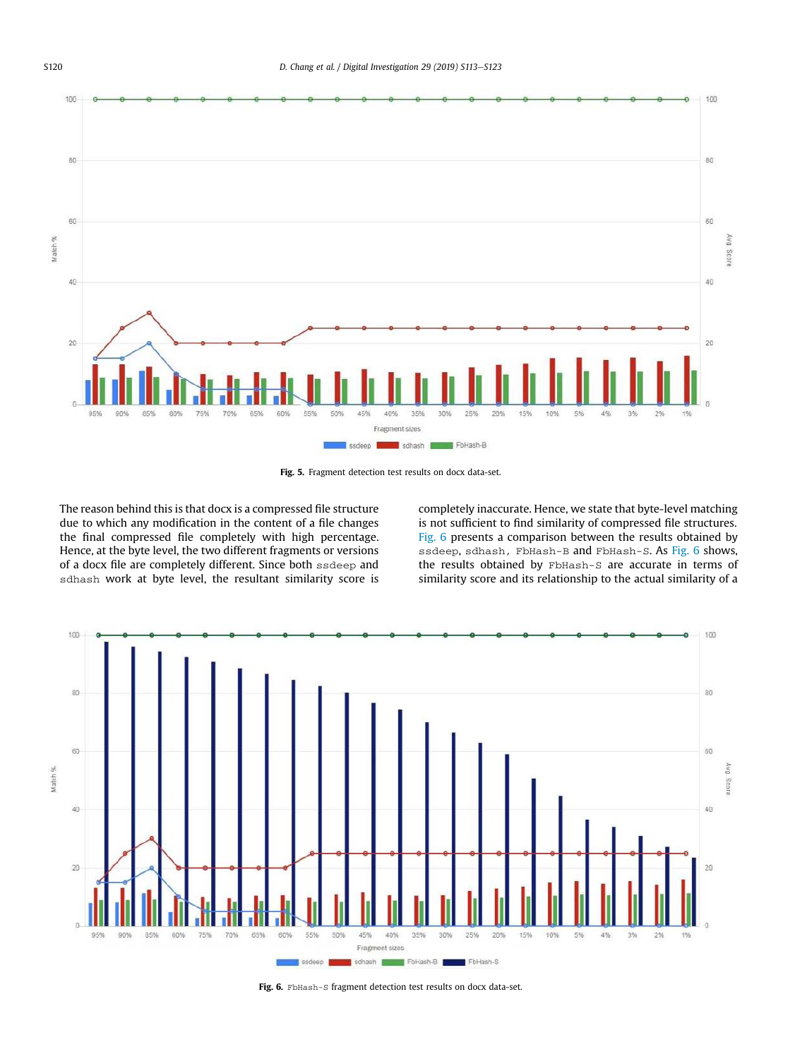

Fig. 5. Fragment detection test results on docx data-set.

The reason behind this is that docx is a compressed file structure due to which any modification in the content of a file changes the final compressed file completely with high percentage. Hence, at the byte level, the two different fragments or versions of a docx file are completely different. Since both ssdeep and sdhash work at byte level, the resultant similarity score is completely inaccurate. Hence, we state that byte-level matching is not sufficient to find similarity of compressed file structures. Fig. 6 presents a comparison between the results obtained by ssdeep, sdhash, FbHash-B and FbHash-S. As Fig. 6 shows, the results obtained by FbHash-S are accurate in terms of similarity score and its relationship to the actual similarity of a



Fig. 6. FbHash-S fragment detection test results on docx data-set.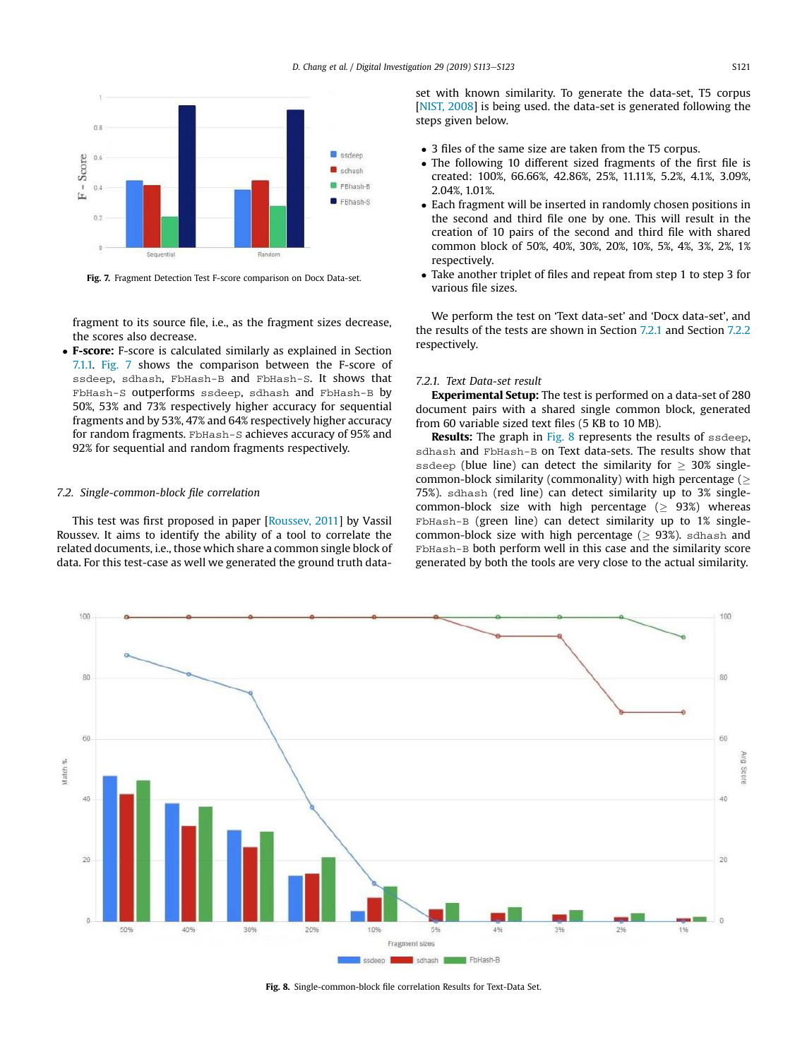

Fig. 7. Fragment Detection Test F-score comparison on Docx Data-set.

fragment to its source file, i.e., as the fragment sizes decrease, the scores also decrease.

 F-score: F-score is calculated similarly as explained in Section 7.1.1. Fig. 7 shows the comparison between the F-score of ssdeep, sdhash, FbHash-B and FbHash-S. It shows that FbHash-S outperforms ssdeep, sdhash and FbHash-B by 50%, 53% and 73% respectively higher accuracy for sequential fragments and by 53%, 47% and 64% respectively higher accuracy for random fragments. FbHash-S achieves accuracy of 95% and 92% for sequential and random fragments respectively.

#### *7.2. Single-common-block* fi*le correlation*

This test was first proposed in paper [Roussev, 2011] by Vassil Roussev. It aims to identify the ability of a tool to correlate the related documents, i.e., those which share a common single block of data. For this test-case as well we generated the ground truth dataset with known similarity. To generate the data-set, T5 corpus [NIST, 2008] is being used. the data-set is generated following the steps given below.

- 3 files of the same size are taken from the T5 corpus.
- The following 10 different sized fragments of the first file is created: 100%, 66.66%, 42.86%, 25%, 11.11%, 5.2%, 4.1%, 3.09%, 2.04%, 1.01%.
- Each fragment will be inserted in randomly chosen positions in the second and third file one by one. This will result in the creation of 10 pairs of the second and third file with shared common block of 50%, 40%, 30%, 20%, 10%, 5%, 4%, 3%, 2%, 1% respectively.
- Take another triplet of files and repeat from step 1 to step 3 for various file sizes.

We perform the test on 'Text data-set' and 'Docx data-set', and the results of the tests are shown in Section 7.2.1 and Section 7.2.2 respectively.

### *7.2.1. Text Data-set result*

Experimental Setup: The test is performed on a data-set of 280 document pairs with a shared single common block, generated from 60 variable sized text files (5 KB to 10 MB).

Results: The graph in Fig. 8 represents the results of ssdeep, sdhash and FbHash-B on Text data-sets. The results show that ssdeep (blue line) can detect the similarity for  $\geq$  30% singlecommon-block similarity (commonality) with high percentage  $($ 75%). sdhash (red line) can detect similarity up to 3% singlecommon-block size with high percentage  $( \geq 93\%)$  whereas FbHash-B (green line) can detect similarity up to 1% singlecommon-block size with high percentage  $(> 93%)$ . sdhash and FbHash-B both perform well in this case and the similarity score generated by both the tools are very close to the actual similarity.



Fig. 8. Single-common-block file correlation Results for Text-Data Set.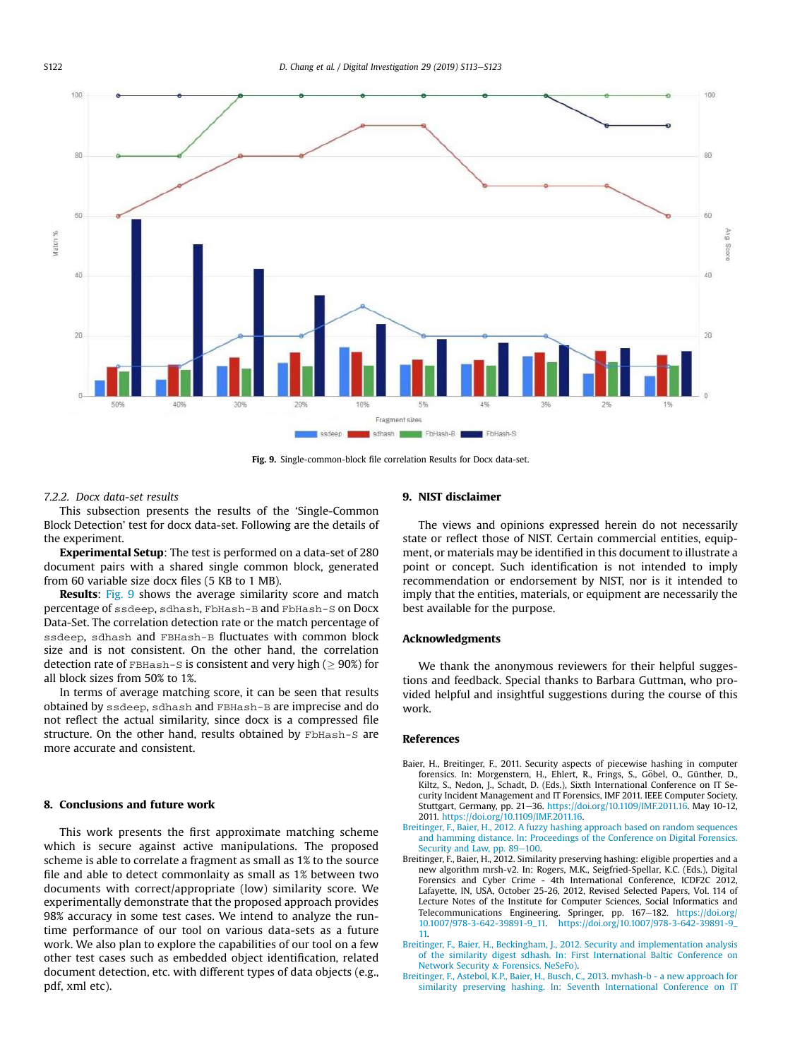

Fig. 9. Single-common-block file correlation Results for Docx data-set.

#### *7.2.2. Docx data-set results*

This subsection presents the results of the 'Single-Common Block Detection' test for docx data-set. Following are the details of the experiment.

Experimental Setup: The test is performed on a data-set of 280 document pairs with a shared single common block, generated from 60 variable size docx files (5 KB to 1 MB).

Results: Fig. 9 shows the average similarity score and match percentage of ssdeep, sdhash, FbHash-B and FbHash-S on Docx Data-Set. The correlation detection rate or the match percentage of ssdeep, sdhash and FBHash-B fluctuates with common block size and is not consistent. On the other hand, the correlation detection rate of  $FBHash-S$  is consistent and very high ( $> 90\%$ ) for all block sizes from 50% to 1%.

In terms of average matching score, it can be seen that results obtained by ssdeep, sdhash and FBHash-B are imprecise and do not reflect the actual similarity, since docx is a compressed file structure. On the other hand, results obtained by FbHash-S are more accurate and consistent.

# 8. Conclusions and future work

This work presents the first approximate matching scheme which is secure against active manipulations. The proposed scheme is able to correlate a fragment as small as 1% to the source file and able to detect commonlaity as small as 1% between two documents with correct/appropriate (low) similarity score. We experimentally demonstrate that the proposed approach provides 98% accuracy in some test cases. We intend to analyze the runtime performance of our tool on various data-sets as a future work. We also plan to explore the capabilities of our tool on a few other test cases such as embedded object identification, related document detection, etc. with different types of data objects (e.g., pdf, xml etc).

#### 9. NIST disclaimer

The views and opinions expressed herein do not necessarily state or reflect those of NIST. Certain commercial entities, equipment, or materials may be identified in this document to illustrate a point or concept. Such identification is not intended to imply recommendation or endorsement by NIST, nor is it intended to imply that the entities, materials, or equipment are necessarily the best available for the purpose.

#### Acknowledgments

We thank the anonymous reviewers for their helpful suggestions and feedback. Special thanks to Barbara Guttman, who provided helpful and insightful suggestions during the course of this work.

#### References

- Baier, H., Breitinger, F., 2011. Security aspects of piecewise hashing in computer forensics. In: Morgenstern, H., Ehlert, R., Frings, S., Göbel, O., Günther, D., Kiltz, S., Nedon, J., Schadt, D. (Eds.), Sixth International Conference on IT Security Incident Management and IT Forensics, IMF 2011. IEEE Computer Society, Stuttgart, Germany, pp. 21-36. https://doi.org/10.1109/IMF.2011.16. May 10-12, 2011. https://doi.org/10.1109/IMF.2011.16.
- Breitinger, F., Baier, H., 2012. A fuzzy hashing approach based on random sequences and hamming distance. In: Proceedings of the Conference on Digital Forensics. Security and Law, pp. 89-100.
- Breitinger, F., Baier, H., 2012. Similarity preserving hashing: eligible properties and a new algorithm mrsh-v2. In: Rogers, M.K., Seigfried-Spellar, K.C. (Eds.), Digital Forensics and Cyber Crime - 4th International Conference, ICDF2C 2012, Lafayette, IN, USA, October 25-26, 2012, Revised Selected Papers, Vol. 114 of Lecture Notes of the Institute for Computer Sciences, Social Informatics and Telecommunications Engineering. Springer, pp. 167-182. https://doi.org/ 10.1007/978-3-642-39891-9\_11. https://doi.org/10.1007/978-3-642-39891-9\_ 11.
- Breitinger, F., Baier, H., Beckingham, J., 2012. Security and implementation analysis of the similarity digest sdhash. In: First International Baltic Conference on Network Security & Forensics. NeSeFo).
- Breitinger, F., Astebol, K.P., Baier, H., Busch, C., 2013. mvhash-b a new approach for similarity preserving hashing. In: Seventh International Conference on IT